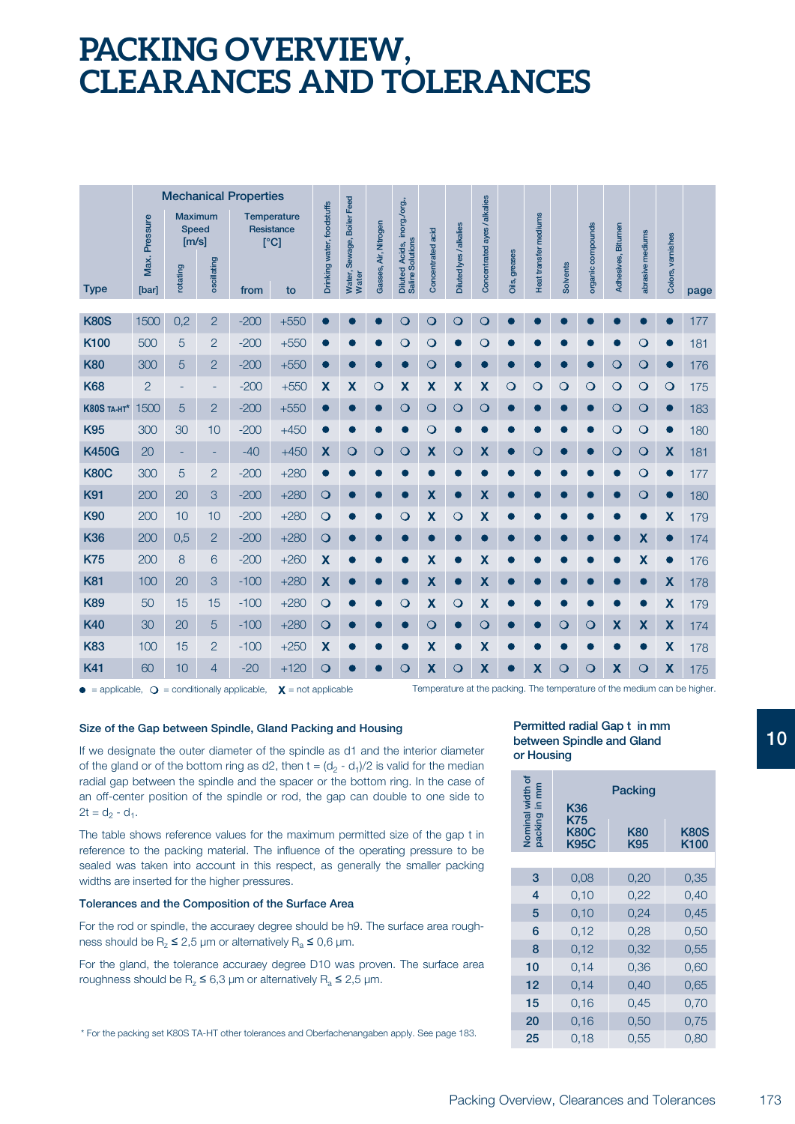## **PACKING OVERVIEW, CLEARANCES AND TOLERANCES**

|                    | <b>Mechanical Properties</b> |                                   |                               |        |                                          |                            |                                     |                       |                                                 |                           |                           |                              |               |                       |                 |                   |                    |                           |                           |      |
|--------------------|------------------------------|-----------------------------------|-------------------------------|--------|------------------------------------------|----------------------------|-------------------------------------|-----------------------|-------------------------------------------------|---------------------------|---------------------------|------------------------------|---------------|-----------------------|-----------------|-------------------|--------------------|---------------------------|---------------------------|------|
|                    | Max. Pressure                | <b>Speed</b><br>[m/s]<br>rotating | <b>Maximum</b><br>oscillating |        | Temperature<br><b>Resistance</b><br>[°C] | Drinking water, foodstuffs | Water, Sewage, Boiler Feed<br>Water | Gasses, Air, Nitrogen | Diluted Acids, inorg./org.,<br>Saline Solutions | Concentrated acid         | Diluted lyes / alkalies   | Concentrated ayes / alkalies | Oils, greases | Heat transfer mediums | <b>Solvents</b> | organic compounds | Adhesives, Bitumen | abrasive mediums          | Colors, varnishes         |      |
| <b>Type</b>        | [bar]                        |                                   |                               | from   | to                                       |                            |                                     |                       |                                                 |                           |                           |                              |               |                       |                 |                   |                    |                           |                           | page |
| <b>K80S</b>        | 1500                         | 0,2                               | $\overline{2}$                | $-200$ | $+550$                                   |                            |                                     |                       | $\circ$                                         | $\circ$                   | $\mathbf{\Omega}$         | $\circ$                      |               |                       |                 |                   |                    |                           |                           | 177  |
| K100               | 500                          | 5                                 | $\overline{2}$                | $-200$ | $+550$                                   |                            |                                     |                       | $\circ$                                         | $\circ$                   | $\bullet$                 | $\circ$                      |               |                       |                 |                   |                    | $\circ$                   |                           | 181  |
| <b>K80</b>         | 300                          | 5                                 | $\overline{2}$                | $-200$ | $+550$                                   | $\blacksquare$             |                                     |                       |                                                 | $\circ$                   | $\bullet$                 |                              |               |                       |                 | О                 | $\circ$            | $\circ$                   | $\bullet$                 | 176  |
| <b>K68</b>         | $\overline{2}$               | $\overline{\phantom{a}}$          | $\overline{\phantom{0}}$      | $-200$ | $+550$                                   | X                          | $\boldsymbol{\mathsf{X}}$           | $\circ$               | $\boldsymbol{\mathsf{X}}$                       | $\boldsymbol{\mathsf{X}}$ | $\boldsymbol{\mathsf{X}}$ | X                            | $\circ$       | $\circ$               | $\circ$         | $\circ$           | $\circ$            | $\circ$                   | $\circ$                   | 175  |
| <b>K80S TA-HT*</b> | 1500                         | 5                                 | $\overline{2}$                | $-200$ | $+550$                                   | ●                          | ●                                   |                       | $\circ$                                         | $\circ$                   | $\circ$                   | $\mathbf O$                  |               |                       |                 | $\bullet$         | $\circ$            | $\circ$                   | $\bullet$                 | 183  |
| <b>K95</b>         | 300                          | 30                                | 10                            | $-200$ | $+450$                                   |                            |                                     |                       |                                                 | $\circ$                   | $\bullet$                 |                              |               |                       |                 | n                 | $\overline{O}$     | $\circ$                   | $\bullet$                 | 180  |
| <b>K450G</b>       | 20                           | ÷                                 | ÷                             | $-40$  | $+450$                                   | X                          | $\circ$                             | $\overline{O}$        | $\circ$                                         | X                         | $\mathbf{\mathsf{O}}$     | X                            |               | $\circ$               |                 | $\bullet$         | $\circ$            | $\circ$                   | X                         | 181  |
| <b>K80C</b>        | 300                          | 5                                 | 2                             | $-200$ | $+280$                                   |                            |                                     |                       |                                                 |                           |                           |                              |               |                       |                 |                   |                    | $\circ$                   | $\bullet$                 | 177  |
| <b>K91</b>         | 200                          | 20                                | 3                             | $-200$ | $+280$                                   | $\circ$                    | 0                                   |                       |                                                 | X                         | $\bullet$                 | X                            |               |                       |                 |                   |                    | $\circ$                   |                           | 180  |
| <b>K90</b>         | 200                          | 10                                | 10                            | $-200$ | $+280$                                   | $\circ$                    |                                     |                       | $\overline{O}$                                  | X                         | $\circ$                   | X                            |               |                       |                 |                   |                    | ●                         | $\boldsymbol{\mathsf{X}}$ | 179  |
| <b>K36</b>         | 200                          | 0,5                               | $\overline{c}$                | $-200$ | $+280$                                   | $\circ$                    |                                     |                       |                                                 |                           | $\bullet$                 |                              |               |                       |                 |                   |                    | $\boldsymbol{\mathsf{X}}$ | $\bullet$                 | 174  |
| <b>K75</b>         | 200                          | 8                                 | 6                             | $-200$ | $+260$                                   | $\overline{\mathsf{x}}$    |                                     |                       |                                                 | X                         | $\bullet$                 | $\boldsymbol{\mathsf{X}}$    |               |                       |                 |                   |                    | $\boldsymbol{\mathsf{X}}$ | $\bullet$                 | 176  |
| <b>K81</b>         | 100                          | 20                                | 3                             | $-100$ | $+280$                                   | X                          | 0                                   |                       |                                                 | X                         | $\bullet$                 | X                            |               |                       |                 |                   |                    | $\bullet$                 | X                         | 178  |
| <b>K89</b>         | 50                           | 15                                | 15                            | $-100$ | $+280$                                   | $\circ$                    | ●                                   |                       | $\circ$                                         | $\boldsymbol{\mathsf{X}}$ | $\circ$                   | $\boldsymbol{\mathsf{x}}$    |               |                       |                 |                   |                    | $\bullet$                 | $\mathbf x$               | 179  |
| <b>K40</b>         | 30                           | 20                                | 5                             | $-100$ | $+280$                                   | $\circ$                    | 0                                   |                       | $\bullet$                                       | $\circ$                   | $\bullet$                 | $\circ$                      |               |                       | $\circ$         | $\overline{O}$    | X                  | X                         | X                         | 174  |
| <b>K83</b>         | 100                          | 15                                | $\overline{2}$                | $-100$ | $+250$                                   | X                          |                                     |                       |                                                 | X                         | $\bullet$                 | $\boldsymbol{\mathsf{X}}$    |               |                       |                 |                   |                    | $\bullet$                 | $\boldsymbol{\mathsf{X}}$ | 178  |
| <b>K41</b>         | 60                           | 10                                | $\overline{4}$                | $-20$  | $+120$                                   | $\circ$                    |                                     |                       | $\overline{O}$                                  | X                         | $\overline{O}$            | X                            |               | X                     | $\mathsf{O}$    | $\circ$           | X                  | $\overline{O}$            | X                         | 175  |

 $\bullet$  = applicable,  $\bigcirc$  = conditionally applicable,  $\mathsf X$  = not applicable Temperature at the packing. The temperature of the medium can be higher.

#### **Size of the Gap between Spindle, Gland Packing and Housing**

If we designate the outer diameter of the spindle as d1 and the interior diameter of the gland or of the bottom ring as d2, then  $t = (d_2 - d_1)/2$  is valid for the median radial gap between the spindle and the spacer or the bottom ring. In the case of an off-center position of the spindle or rod, the gap can double to one side to  $2t = d_2 - d_1$ .

The table shows reference values for the maximum permitted size of the gap t in reference to the packing material. The influence of the operating pressure to be sealed was taken into account in this respect, as generally the smaller packing widths are inserted for the higher pressures.

#### **Tolerances and the Composition of the Surface Area**

For the rod or spindle, the accuraey degree should be h9. The surface area roughness should be  $R_z \le 2.5$  µm or alternatively  $R_a \le 0.6$  µm.

For the gland, the tolerance accuraey degree D10 was proven. The surface area roughness should be  $R_z \le 6.3 \mu m$  or alternatively  $R_a \le 2.5 \mu m$ .

\* For the packing set K80S TA-HT other tolerances and Oberfachenangaben apply. See page 183.

#### **Permitted radial Gap t in mm between Spindle and Gland or Housing**

| Ē<br>Nominal width<br>packing in mm | Packing<br>K36<br>K75      |            |              |  |  |  |  |  |
|-------------------------------------|----------------------------|------------|--------------|--|--|--|--|--|
|                                     | <b>K80C</b><br><b>K95C</b> | K80<br>K95 | K80S<br>K100 |  |  |  |  |  |
|                                     |                            |            |              |  |  |  |  |  |
| 3                                   | 0,08                       | 0,20       | 0,35         |  |  |  |  |  |
| 4                                   | 0,10                       | 0,22       | 0,40         |  |  |  |  |  |
| 5                                   | 0,10                       | 0,24       | 0,45         |  |  |  |  |  |
| 6                                   | 0,12                       | 0,28       | 0,50         |  |  |  |  |  |
| 8                                   | 0,12                       | 0,32       | 0,55         |  |  |  |  |  |
| 10                                  | 0,14                       | 0,36       | 0,60         |  |  |  |  |  |
| 12                                  | 0,14                       | 0,40       | 0,65         |  |  |  |  |  |
| 15                                  | 0,16                       | 0,45       | 0,70         |  |  |  |  |  |
| 20                                  | 0,16                       | 0,50       | 0,75         |  |  |  |  |  |
| 25                                  | 0,18                       | 0,55       | 0,80         |  |  |  |  |  |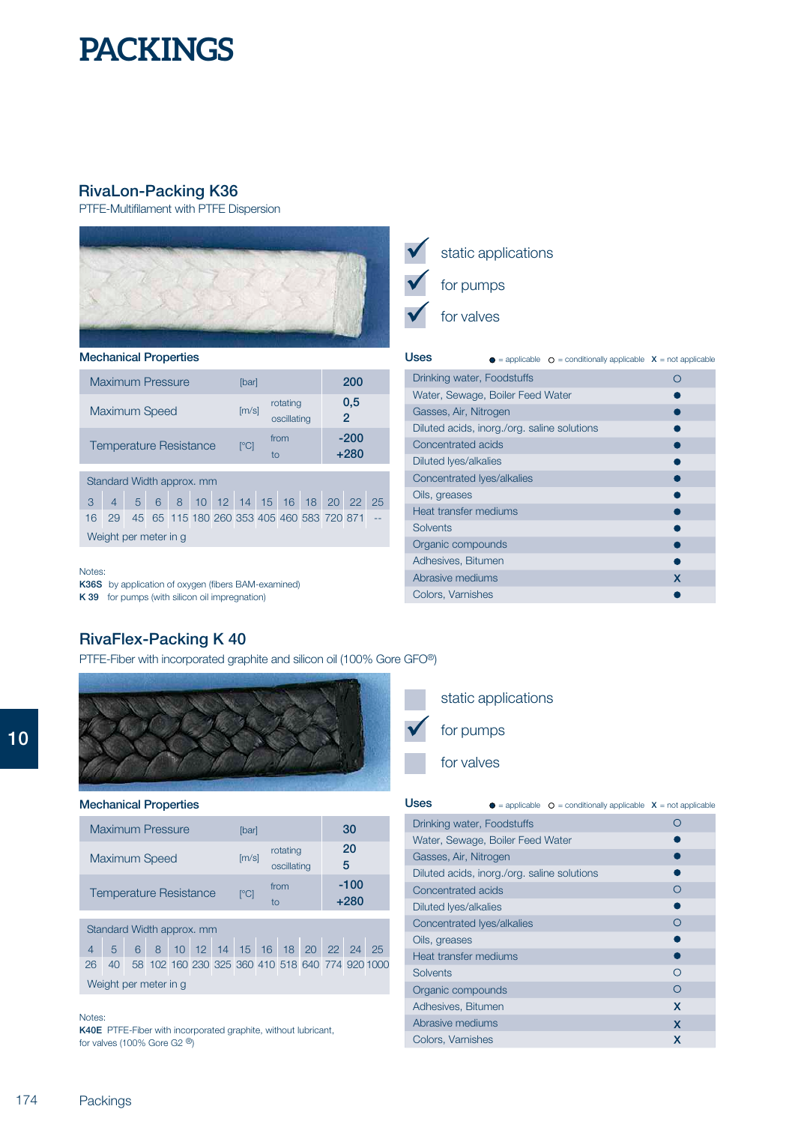## **RivaLon-Packing K36**

PTFE-Multifilament with PTFE Dispersion



### **Mechanical Properties**

| <b>Maximum Pressure</b>       | [bar]                    |                         | 200              |
|-------------------------------|--------------------------|-------------------------|------------------|
| <b>Maximum Speed</b>          | [m/s]                    | rotating<br>oscillating | 0,5<br>2         |
| <b>Temperature Resistance</b> | $\Gamma$ <sup>o</sup> Cl | from<br>to              | $-200$<br>$+280$ |
| Standard Width approx. mm     |                          |                         |                  |

|                       |  |  |  | 4 5 6 8 10 12 14 15 16 18 20 22 25                 |  |  |  |  |  |  |  |
|-----------------------|--|--|--|----------------------------------------------------|--|--|--|--|--|--|--|
|                       |  |  |  | 16 29 45 65 115 180 260 353 405 460 583 720 871 -- |  |  |  |  |  |  |  |
| Weight per meter in q |  |  |  |                                                    |  |  |  |  |  |  |  |

#### Notes:

**K36S** by application of oxygen (fibers BAM-examined) **K 39** for pumps (with silicon oil impregnation)



## static applications for pumps

for valves

| Uses                                        |  | $\bullet$ = applicable $\circ$ = conditionally applicable $\circ$ = not applicable |   |
|---------------------------------------------|--|------------------------------------------------------------------------------------|---|
| Drinking water, Foodstuffs                  |  |                                                                                    |   |
| Water, Sewage, Boiler Feed Water            |  |                                                                                    |   |
| Gasses, Air, Nitrogen                       |  |                                                                                    |   |
| Diluted acids, inorg./org. saline solutions |  |                                                                                    |   |
| Concentrated acids                          |  |                                                                                    |   |
| Diluted lyes/alkalies                       |  |                                                                                    |   |
| Concentrated Ives/alkalies                  |  |                                                                                    |   |
| Oils, greases                               |  |                                                                                    |   |
| Heat transfer mediums                       |  |                                                                                    |   |
| Solvents                                    |  |                                                                                    |   |
| Organic compounds                           |  |                                                                                    |   |
| Adhesives, Bitumen                          |  |                                                                                    |   |
| Abrasive mediums                            |  |                                                                                    | X |
| Colors, Varnishes                           |  |                                                                                    |   |

## **RivaFlex-Packing K 40**

PTFE-Fiber with incorporated graphite and silicon oil (100% Gore GFO®)



#### **Mechanical Properties**

| <b>Maximum Pressure</b>       | <b>Ibarl</b>             |                         | 30               |
|-------------------------------|--------------------------|-------------------------|------------------|
| <b>Maximum Speed</b>          | [m/s]                    | rotating<br>oscillating | 20<br>5          |
| <b>Temperature Resistance</b> | $\Gamma$ <sup>o</sup> Cl | from<br>tΟ              | $-100$<br>$+280$ |

### Standard Width approx. mm

4 5 6 8 10 12 14 15 16 18 20 22 24 25 26 40 58 102 160 230 325 360 410 518 640 774 920 1000 Weight per meter in g

#### Notes:

**K40E** PTFE-Fiber with incorporated graphite, without lubricant, for valves (100% Gore G2 ®)



| Uses                                        | $\bullet$ = applicable $\circ$ = conditionally applicable $X$ = not applicable |                  |
|---------------------------------------------|--------------------------------------------------------------------------------|------------------|
| Drinking water, Foodstuffs                  |                                                                                |                  |
| Water, Sewage, Boiler Feed Water            |                                                                                |                  |
| Gasses, Air, Nitrogen                       |                                                                                |                  |
| Diluted acids, inorg./org. saline solutions |                                                                                |                  |
| Concentrated acids                          |                                                                                | $\left( \right)$ |
| Diluted lyes/alkalies                       |                                                                                |                  |
| Concentrated Iyes/alkalies                  |                                                                                | ∩                |
| Oils, greases                               |                                                                                |                  |
| Heat transfer mediums                       |                                                                                |                  |
| Solvents                                    |                                                                                | ∩                |
| Organic compounds                           |                                                                                | ∩                |
| Adhesives, Bitumen                          |                                                                                | x                |
| Abrasive mediums                            |                                                                                | x                |
| Colors, Varnishes                           |                                                                                | x                |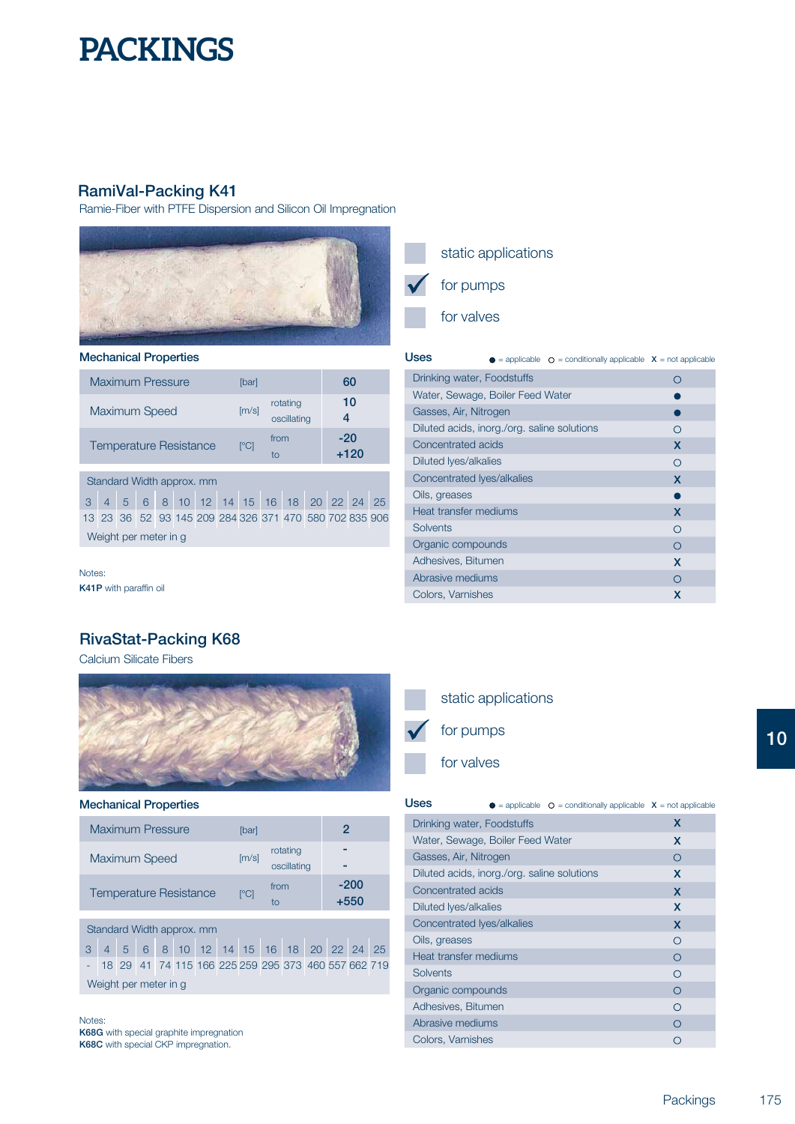## **RamiVal-Packing K41**

Ramie-Fiber with PTFE Dispersion and Silicon Oil Impregnation



### **Mechanical Properties**

| <b>Maximum Pressure</b>       | [bar]                    |                         | 60            |
|-------------------------------|--------------------------|-------------------------|---------------|
| <b>Maximum Speed</b>          | [m/s]                    | rotating<br>oscillating | 10            |
| <b>Temperature Resistance</b> | $\Gamma$ <sup>o</sup> Cl | from<br>tΟ              | -20<br>$+120$ |
|                               |                          |                         |               |

## Standard Width approx. mm

3 4 5 6 8 10 12 14 15 16 18 20 22 24 25 13 23 36 52 93 145 209 284 326 371 470 580 702 835 906 Weight per meter in g

Notes: **K41P** with paraffin oil

## **RivaStat-Packing K68**

Calcium Silicate Fibers



#### **Mechanical Properties**

| <b>Maximum Pressure</b>       | <b>Ibarl</b>             |                         |                |
|-------------------------------|--------------------------|-------------------------|----------------|
| <b>Maximum Speed</b>          | [m/s]                    | rotating<br>oscillating |                |
| <b>Temperature Resistance</b> | $\Gamma$ <sup>o</sup> Cl | from<br>tο              | $-200$<br>+550 |

## Standard Width approx. mm

3 4 5 6 8 10 12 14 15 16 18 20 22 24 25 - 18 29 41 74 115 166 225 259 295 373 460 557 662 719 Weight per meter in g

Notes: **K68G** with special graphite impregnation **K68C** with special CKP impregnation.

## static applications for pumps for valves

#### **USeS**  $\bullet$  = applicable  $\circ$  = conditionally applicable **X** = not applicable Drinking water, Foodstuffs  $\circ$ Water, Sewage, Boiler Feed Water  $\bullet$ Gasses, Air, Nitrogen  $\bullet$ Diluted acids, inorg./org. saline solutions  $\circ$ Concentrated acids  $\mathsf{x}$ Diluted lyes/alkalies  $\circ$ Concentrated lyes/alkalies  $\overline{\mathsf{x}}$ Oils, greases  $\bullet$ Heat transfer mediums  $\overline{\mathsf{x}}$ **Solvents**  $\circ$ Organic compounds  $\circ$ Adhesives, Bitumen  $\overline{\mathsf{x}}$ Abrasive mediums

## static applications for pumps

Colors, Varnishes

for valves

| <b>Uses</b>                                 | <b><math>\bullet</math></b> = applicable $\circ$ = conditionally applicable $\circ$ x = not applicable |                           |
|---------------------------------------------|--------------------------------------------------------------------------------------------------------|---------------------------|
| Drinking water, Foodstuffs                  |                                                                                                        | x                         |
| Water, Sewage, Boiler Feed Water            |                                                                                                        | x                         |
| Gasses, Air, Nitrogen                       |                                                                                                        | ∩                         |
| Diluted acids, inorg./org. saline solutions |                                                                                                        | x                         |
| Concentrated acids                          |                                                                                                        | x                         |
| Diluted Iyes/alkalies                       |                                                                                                        | X                         |
| Concentrated Ives/alkalies                  |                                                                                                        | $\boldsymbol{\mathsf{x}}$ |
| Oils, greases                               |                                                                                                        | ∩                         |
| Heat transfer mediums                       |                                                                                                        | ∩                         |
| Solvents                                    |                                                                                                        | ∩                         |
| Organic compounds                           |                                                                                                        | Ω                         |
| Adhesives, Bitumen                          |                                                                                                        | ∩                         |
| Abrasive mediums                            |                                                                                                        | ∩                         |
| Colors, Varnishes                           |                                                                                                        | ∩                         |

 $\circ$  $\overline{\mathbf{x}}$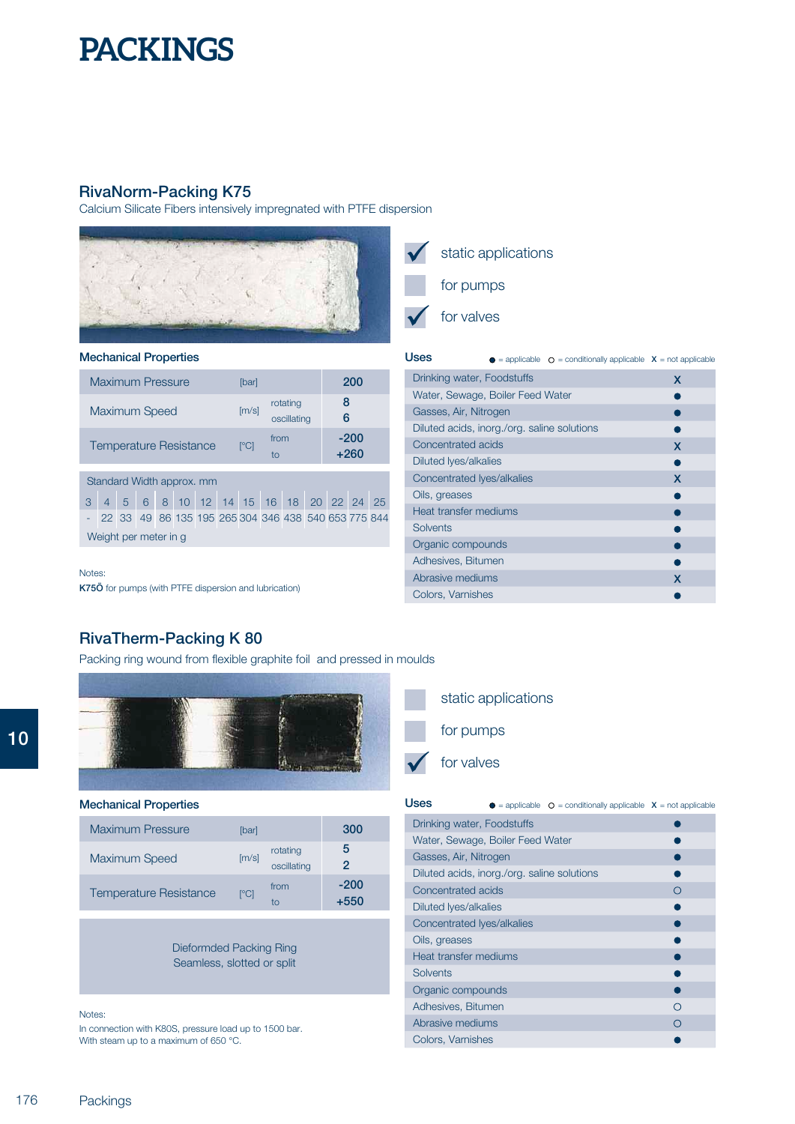## **RivaNorm-Packing K75**

Calcium Silicate Fibers intensively impregnated with PTFE dispersion



## **Mechanical Properties**

| <b>Maximum Pressure</b>       | [bar]                    |                         | 200              |
|-------------------------------|--------------------------|-------------------------|------------------|
| <b>Maximum Speed</b>          | [m/s]                    | rotating<br>oscillating | 8<br>6           |
| <b>Temperature Resistance</b> | $\Gamma$ <sup>o</sup> Cl | from<br>to              | $-200$<br>$+260$ |
| Standard Width annrox<br>mm   |                          |                         |                  |

|                       |  |  |  |  |  |  |  |  |  | 3 4 5 6 8 10 12 14 15 16 18 20 22 24 25               |  |  |
|-----------------------|--|--|--|--|--|--|--|--|--|-------------------------------------------------------|--|--|
|                       |  |  |  |  |  |  |  |  |  | - 22 33 49 86 135 195 265 304 346 438 540 653 775 844 |  |  |
| Weight per meter in g |  |  |  |  |  |  |  |  |  |                                                       |  |  |

#### Notes:

**K75Ö** for pumps (with PTFE dispersion and lubrication)

## static applications for pumps

for valves

| Uses                                        | $\bullet$ = applicable $\circ$ = conditionally applicable $X$ = not applicable |   |
|---------------------------------------------|--------------------------------------------------------------------------------|---|
| Drinking water, Foodstuffs                  |                                                                                | x |
| Water, Sewage, Boiler Feed Water            |                                                                                |   |
| Gasses, Air, Nitrogen                       |                                                                                |   |
| Diluted acids, inorg./org. saline solutions |                                                                                |   |
| Concentrated acids                          |                                                                                | x |
| Diluted lyes/alkalies                       |                                                                                |   |
| Concentrated Ives/alkalies                  |                                                                                | X |
| Oils, greases                               |                                                                                |   |
| Heat transfer mediums                       |                                                                                |   |
| Solvents                                    |                                                                                |   |
| Organic compounds                           |                                                                                |   |
| Adhesives, Bitumen                          |                                                                                |   |
| Abrasive mediums                            |                                                                                | x |
| Colors, Varnishes                           |                                                                                |   |

## **RivaTherm-Packing K 80**

Packing ring wound from flexible graphite foil and pressed in moulds



### **Mechanical Properties**

| <b>Maximum Pressure</b>       | <b>Ibarl</b>               |                         | 300              |
|-------------------------------|----------------------------|-------------------------|------------------|
| <b>Maximum Speed</b>          | [m/s]                      | rotating<br>oscillating | 5<br>2           |
| <b>Temperature Resistance</b> | $\lceil \text{°CI} \rceil$ | from<br>tο              | $-200$<br>$+550$ |

Dieformded Packing Ring Seamless, slotted or split

#### Notes:

In connection with K80S, pressure load up to 1500 bar. With steam up to a maximum of 650 °C.





| <b>Uses</b>                                 | $\bullet$ = applicable $\circ$ = conditionally applicable $X$ = not applicable |   |
|---------------------------------------------|--------------------------------------------------------------------------------|---|
| Drinking water, Foodstuffs                  |                                                                                |   |
| Water, Sewage, Boiler Feed Water            |                                                                                |   |
| Gasses, Air, Nitrogen                       |                                                                                |   |
| Diluted acids, inorg./org. saline solutions |                                                                                |   |
| Concentrated acids                          |                                                                                | ∩ |
| Diluted Iyes/alkalies                       |                                                                                |   |
| Concentrated Iyes/alkalies                  |                                                                                |   |
| Oils, greases                               |                                                                                |   |
| Heat transfer mediums                       |                                                                                |   |
| <b>Solvents</b>                             |                                                                                |   |
| Organic compounds                           |                                                                                |   |
| Adhesives, Bitumen                          |                                                                                |   |
| Abrasive mediums                            |                                                                                |   |
| Colors, Varnishes                           |                                                                                |   |

**10**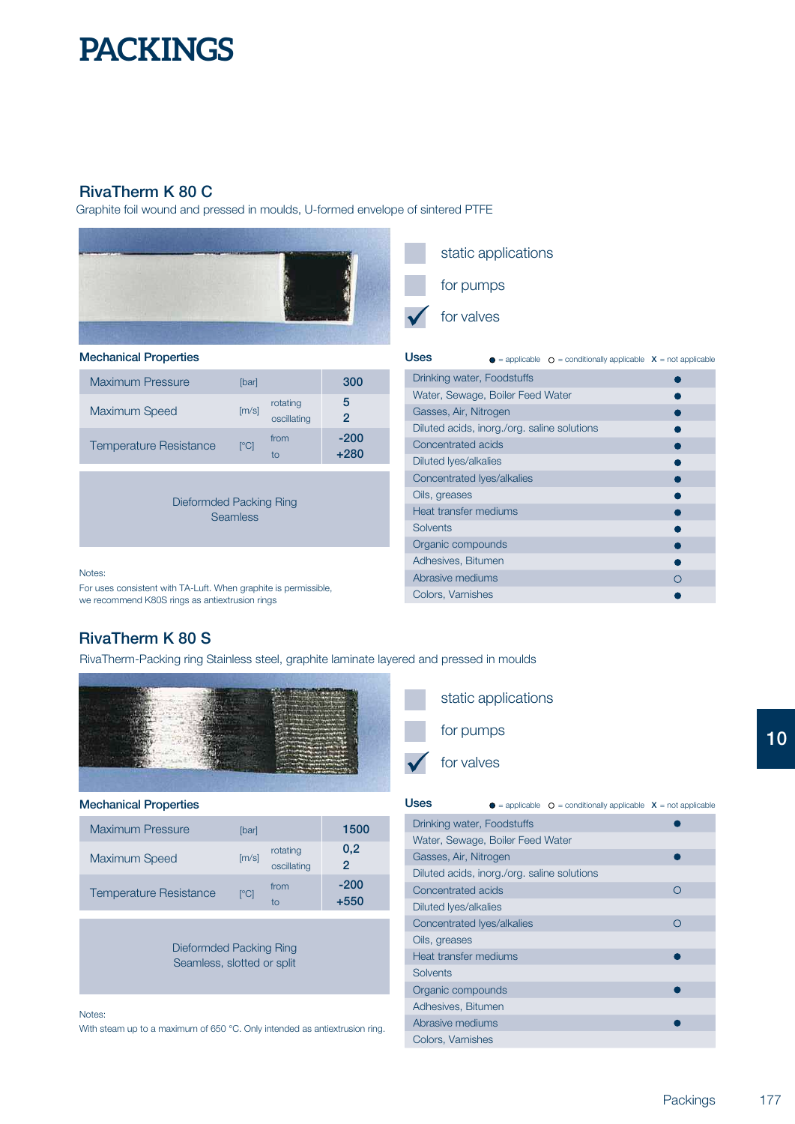## **RivaTherm K 80 C**

Graphite foil wound and pressed in moulds, U-formed envelope of sintered PTFE



### **Mechanical Properties**

| <b>Maximum Pressure</b>       | <b>Ibarl</b>             |                         | 300              |
|-------------------------------|--------------------------|-------------------------|------------------|
| <b>Maximum Speed</b>          | [m/s]                    | rotating<br>oscillating | 5<br>2           |
| <b>Temperature Resistance</b> | $\Gamma$ <sup>o</sup> Cl | from<br>tΩ              | $-200$<br>$+280$ |

Dieformded Packing Ring **Seamless** 

#### Notes:

For uses consistent with TA-Luft. When graphite is permissible, we recommend K80S rings as antiextrusion rings



**Uses** = applicable = conditionally applicable **<sup>X</sup>** = not applicable Drinking water, Foodstuffs  $\bullet$ Water, Sewage, Boiler Feed Water  $\bullet$ Gasses, Air, Nitrogen Ċ Diluted acids, inorg./org. saline solutions  $\bullet$ Concentrated acids Diluted lyes/alkalies  $\bullet$ Concentrated lyes/alkalies ė Oils, greases  $\bullet$ Heat transfer mediums ۵ **Solvents** Ċ Organic compounds é Adhesives, Bitumen ċ Abrasive mediums  $\circ$ Colors, Varnishes

## **RivaTherm K 80 S**

RivaTherm-Packing ring Stainless steel, graphite laminate layered and pressed in moulds



#### **Mechanical Properties**

| <b>Maximum Pressure</b>       | [bar]                    |                         | 1500         |
|-------------------------------|--------------------------|-------------------------|--------------|
| Maximum Speed                 | [m/s]                    | rotating<br>oscillating | 0,2<br>2     |
| <b>Temperature Resistance</b> | $\Gamma$ <sup>o</sup> Cl | from<br>tο              | -200<br>+550 |

Dieformded Packing Ring Seamless, slotted or split

#### Notes:

With steam up to a maximum of 650 °C. Only intended as antiextrusion ring.



| Uses                                        | $\bullet$ = applicable $\circ$ = conditionally applicable $\circ$ x = not applicable |   |
|---------------------------------------------|--------------------------------------------------------------------------------------|---|
| Drinking water, Foodstuffs                  |                                                                                      |   |
| Water, Sewage, Boiler Feed Water            |                                                                                      |   |
| Gasses, Air, Nitrogen                       |                                                                                      |   |
| Diluted acids, inorg./org. saline solutions |                                                                                      |   |
| Concentrated acids                          |                                                                                      | ∩ |
| Diluted Iyes/alkalies                       |                                                                                      |   |
| Concentrated Iyes/alkalies                  |                                                                                      | ∩ |
| Oils, greases                               |                                                                                      |   |
| Heat transfer mediums                       |                                                                                      |   |
| Solvents                                    |                                                                                      |   |
| Organic compounds                           |                                                                                      |   |
| Adhesives, Bitumen                          |                                                                                      |   |
| Abrasive mediums                            |                                                                                      |   |
| Colors, Varnishes                           |                                                                                      |   |

Ċ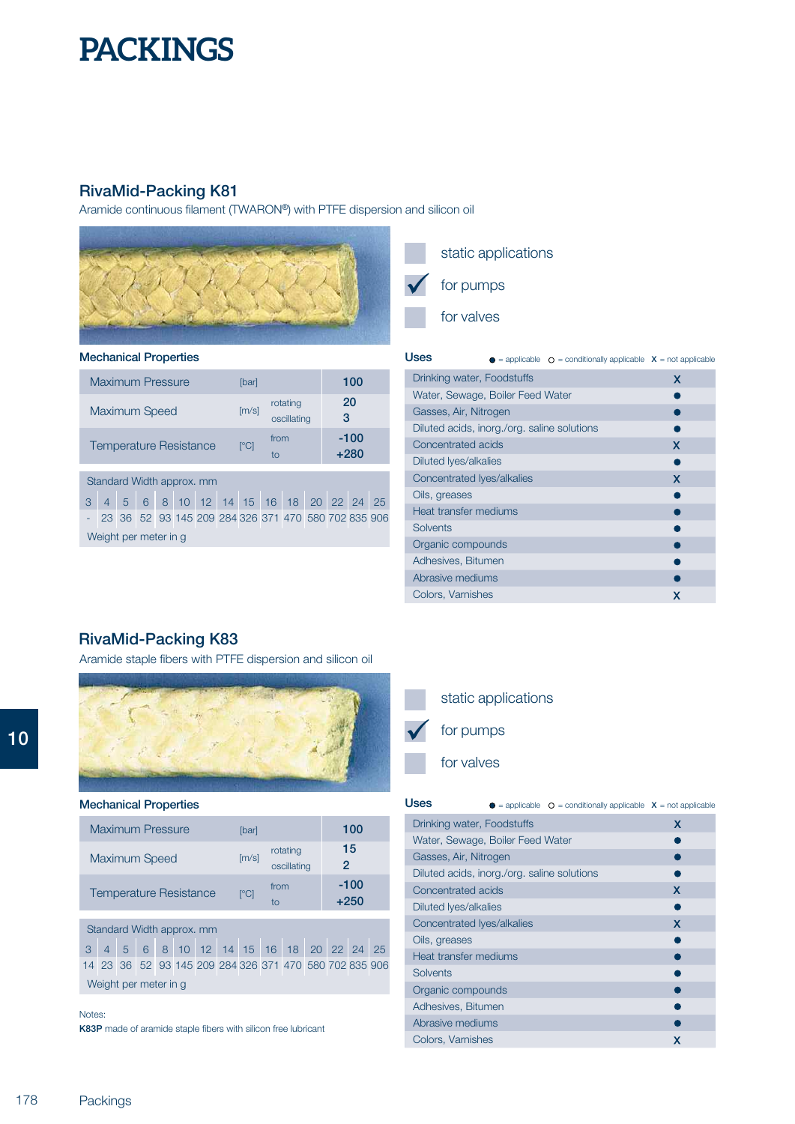## **RivaMid-Packing K81**

Aramide continuous filament (TWARON®) with PTFE dispersion and silicon oil



## **Mechanical Properties**

| <b>Maximum Pressure</b>   | [bar]                    |                         | 100            |
|---------------------------|--------------------------|-------------------------|----------------|
| Maximum Speed             | [m/s]                    | rotating<br>oscillating | 20<br>3        |
| Temperature Resistance    | $\Gamma$ <sup>o</sup> Cl | from<br>tο              | -100<br>$+280$ |
|                           |                          |                         |                |
| Standard Width approx. mm |                          |                         |                |

|                       |  |  |  |  |  |  |  |  | 3 4 5 6 8 10 12 14 15 16 18 20 22 24 25               |  |  |
|-----------------------|--|--|--|--|--|--|--|--|-------------------------------------------------------|--|--|
|                       |  |  |  |  |  |  |  |  | - 23 36 52 93 145 209 284 326 371 470 580 702 835 906 |  |  |
| Weight per meter in g |  |  |  |  |  |  |  |  |                                                       |  |  |

static applications

for pumps

for valves

| Uses                                        | $\bullet$ = applicable $\circ$ = conditionally applicable $\mathsf{X}$ = not applicable |   |
|---------------------------------------------|-----------------------------------------------------------------------------------------|---|
| Drinking water, Foodstuffs                  |                                                                                         | x |
| Water, Sewage, Boiler Feed Water            |                                                                                         |   |
| Gasses, Air, Nitrogen                       |                                                                                         |   |
| Diluted acids, inorg./org. saline solutions |                                                                                         |   |
| Concentrated acids                          |                                                                                         | x |
| Diluted Iyes/alkalies                       |                                                                                         |   |
| Concentrated Ives/alkalies                  |                                                                                         | x |
| Oils, greases                               |                                                                                         |   |
| Heat transfer mediums                       |                                                                                         |   |
| <b>Solvents</b>                             |                                                                                         |   |
| Organic compounds                           |                                                                                         |   |
| Adhesives, Bitumen                          |                                                                                         |   |
| Abrasive mediums                            |                                                                                         |   |
| Colors, Varnishes                           |                                                                                         | x |

## **RivaMid-Packing K83**

Aramide staple fibers with PTFE dispersion and silicon oil



#### **Mechanical Properties**

| <b>Maximum Pressure</b>       | <b>Ibarl</b>             |                         | 100              |
|-------------------------------|--------------------------|-------------------------|------------------|
| <b>Maximum Speed</b>          | [m/s]                    | rotating<br>oscillating | 15<br>2          |
| <b>Temperature Resistance</b> | $\Gamma$ <sup>o</sup> Cl | from<br>tο              | $-100$<br>$+250$ |

## Standard Width approx. mm

3 4 5 6 8 10 12 14 15 16 18 20 22 24 25 14 23 36 52 93 145 209 284 326 371 470 580 702 835 906 Weight per meter in g

#### Notes:

**K83P** made of aramide staple fibers with silicon free lubricant



### for valves

| <b>Uses</b>                                 | = applicable $\circ$ = conditionally applicable $X$ = not applicable |   |
|---------------------------------------------|----------------------------------------------------------------------|---|
| Drinking water, Foodstuffs                  |                                                                      | x |
| Water, Sewage, Boiler Feed Water            |                                                                      |   |
| Gasses, Air, Nitrogen                       |                                                                      |   |
| Diluted acids, inorg./org. saline solutions |                                                                      |   |
| Concentrated acids                          |                                                                      | x |
| Diluted lyes/alkalies                       |                                                                      |   |
| Concentrated Iyes/alkalies                  |                                                                      | x |
| Oils, greases                               |                                                                      |   |
| Heat transfer mediums                       |                                                                      |   |
| Solvents                                    |                                                                      |   |
| Organic compounds                           |                                                                      |   |
| Adhesives, Bitumen                          |                                                                      |   |
| Abrasive mediums                            |                                                                      |   |
| Colors, Varnishes                           |                                                                      | х |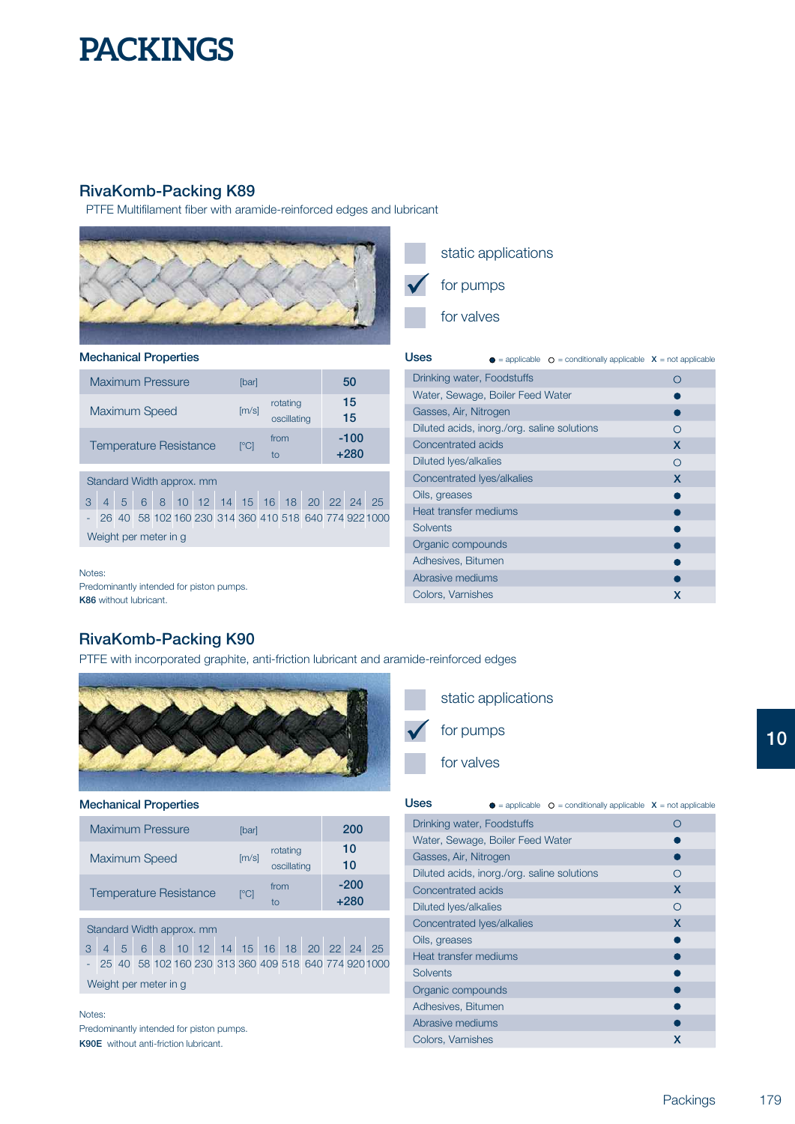## **RivaKomb-Packing K89**

PTFE Multifilament fiber with aramide-reinforced edges and lubricant



### **Mechanical Properties**

| Maximum Pressure              | [bar]                    |                         | 50             |
|-------------------------------|--------------------------|-------------------------|----------------|
| Maximum Speed                 | [m/s]                    | rotating<br>oscillating | 15<br>15       |
| <b>Temperature Resistance</b> | $\Gamma$ <sup>o</sup> Cl | from<br>t٨              | -100<br>$+280$ |
|                               |                          |                         |                |
|                               |                          |                         |                |

## Standard Width approx. mm

3 4 5 6 8 10 12 14 15 16 18 20 22 24 25 - 26 40 58 102 160 230 314 360 410 518 640 774 9221000 Weight per meter in g

Notes: **K86**  without lubricant. Predominantly intended for piston pumps.

## **RivaKomb-Packing K90**

PTFE with incorporated graphite, anti-friction lubricant and aramide-reinforced edges



#### **Mechanical Properties**

| <b>Maximum Pressure</b>       | [bar]                    |                         | 200              |
|-------------------------------|--------------------------|-------------------------|------------------|
| <b>Maximum Speed</b>          | [m/s]                    | rotating<br>oscillating | 10<br>10         |
| <b>Temperature Resistance</b> | $\Gamma$ <sup>o</sup> Cl | from<br>tο              | $-200$<br>$+280$ |

## Standard Width approx. mm

3 4 5 6 8 10 12 14 15 16 18 20 22 24 25 - 25 40 58 102 160 230 313 360 409 518 640 774 9201000 Weight per meter in g

## Notes: . Predominantly intended for piston pumps

**K90E** without anti-friction lubricant.

## static applications for pumps for valves

| <b>Uses</b>                                 | $\bullet$ = applicable $\circ$ = conditionally applicable $\circ$ = not applicable |   |
|---------------------------------------------|------------------------------------------------------------------------------------|---|
| Drinking water, Foodstuffs                  |                                                                                    | ∩ |
| Water, Sewage, Boiler Feed Water            |                                                                                    |   |
| Gasses, Air, Nitrogen                       |                                                                                    |   |
| Diluted acids, inorg./org. saline solutions |                                                                                    | ∩ |
| Concentrated acids                          |                                                                                    | X |
| Diluted lyes/alkalies                       |                                                                                    | ∩ |
| Concentrated Ives/alkalies                  |                                                                                    | X |
| Oils, greases                               |                                                                                    |   |
| Heat transfer mediums                       |                                                                                    |   |
| Solvents                                    |                                                                                    |   |
| Organic compounds                           |                                                                                    |   |
| Adhesives, Bitumen                          |                                                                                    |   |
| Abrasive mediums                            |                                                                                    |   |
| Colors, Varnishes                           |                                                                                    | x |

## static applications for pumps

for valves

| Uses                                        | $\bullet$ = applicable $\circ$ = conditionally applicable $X$ = not applicable |   |
|---------------------------------------------|--------------------------------------------------------------------------------|---|
| Drinking water, Foodstuffs                  |                                                                                | ∩ |
| Water, Sewage, Boiler Feed Water            |                                                                                |   |
| Gasses, Air, Nitrogen                       |                                                                                |   |
| Diluted acids, inorg./org. saline solutions |                                                                                |   |
| Concentrated acids                          |                                                                                | X |
| Diluted Iyes/alkalies                       |                                                                                | ∩ |
| Concentrated Iyes/alkalies                  |                                                                                | x |
| Oils, greases                               |                                                                                |   |
| Heat transfer mediums                       |                                                                                |   |
| <b>Solvents</b>                             |                                                                                |   |
| Organic compounds                           |                                                                                |   |
| Adhesives, Bitumen                          |                                                                                |   |
| Abrasive mediums                            |                                                                                |   |
| Colors, Varnishes                           |                                                                                | x |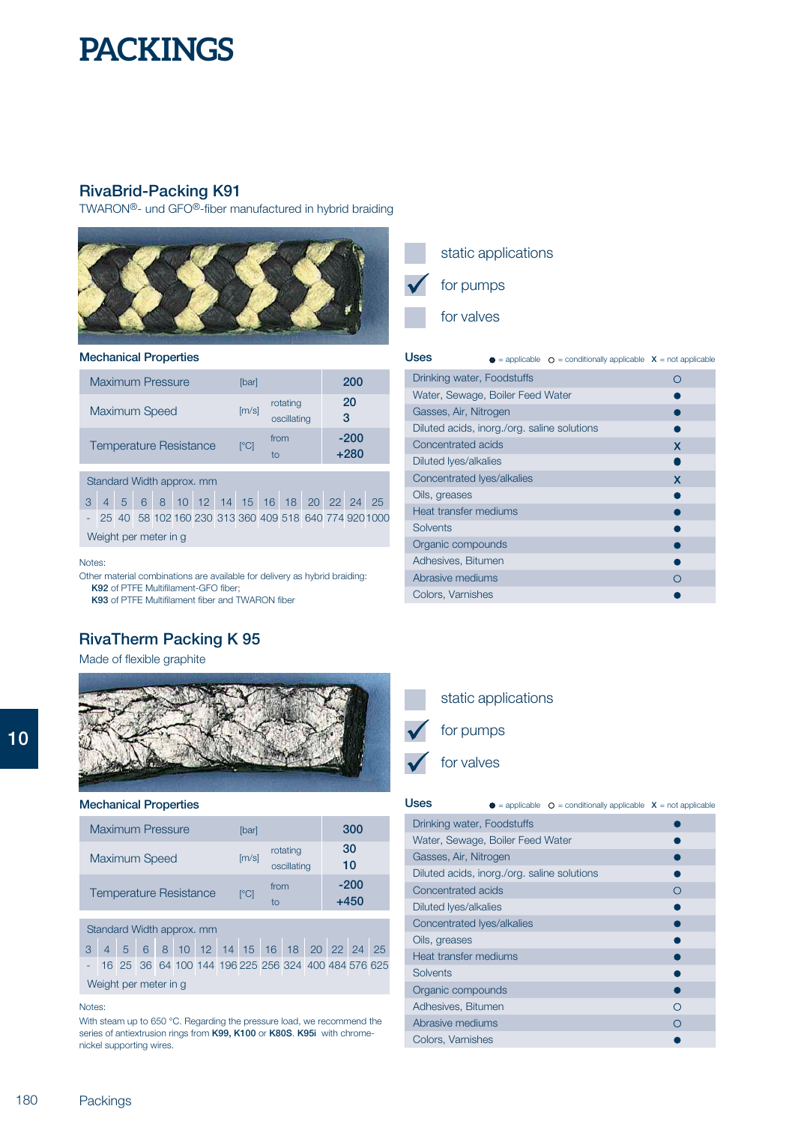## **RivaBrid-Packing K91**

TWARON®- und GFO®-fiber manufactured in hybrid braiding



### **Mechanical Properties**

| <b>Maximum Pressure</b>   | [bar]        |                         | 200              |
|---------------------------|--------------|-------------------------|------------------|
| <b>Maximum Speed</b>      | [m/s]        | rotating<br>oscillating | 20<br>3          |
| Temperature Resistance    | $\lceil$ °Cl | from<br>tο              | $-200$<br>$+280$ |
| Standard Width approx. mm |              |                         |                  |

|                       |  |  |  |  |  |  |  |  | 3 4 5 6 8 10 12 14 15 16 18 20 22 24 25 |  |                                                         |
|-----------------------|--|--|--|--|--|--|--|--|-----------------------------------------|--|---------------------------------------------------------|
|                       |  |  |  |  |  |  |  |  |                                         |  | - 25 40 58 102 160 230 313 360 409 518 640 774 920 1000 |
| Weight per meter in g |  |  |  |  |  |  |  |  |                                         |  |                                                         |

Notes:

Other material combinations are available for delivery as hybrid braiding: **K92** of PTFE Multifilament-GFO fiber; **K93** of PTFE Multifilament fiber and TWARON fiber

## **RivaTherm Packing K 95**

Made of flexible graphite



#### **Mechanical Properties**

| <b>Maximum Pressure</b>       | [bar] |                         | 300              |
|-------------------------------|-------|-------------------------|------------------|
| <b>Maximum Speed</b>          | [m/s] | rotating<br>oscillating | 30<br>10         |
| <b>Temperature Resistance</b> | r°Cl  | from<br>tΟ              | $-200$<br>$+450$ |

### Standard Width approx. mm

3 4 5 6 8 10 12 14 15 16 18 20 22 24 25 - 16 25 36 64 100 144 196 225 256 324 400 484 576 625 Weight per meter in g

#### Notes:

With steam up to 650 °C. Regarding the pressure load, we recommend the series of antiextrusion rings from **K99, K100** or **K80S**. **K95i** with chromenickel supporting wires.



for valves

| Uses                                        | $\bullet$ = applicable $\circ$ = conditionally applicable $\mathsf{X}$ = not applicable |   |
|---------------------------------------------|-----------------------------------------------------------------------------------------|---|
| Drinking water, Foodstuffs                  |                                                                                         |   |
| Water, Sewage, Boiler Feed Water            |                                                                                         |   |
| Gasses, Air, Nitrogen                       |                                                                                         |   |
| Diluted acids, inorg./org. saline solutions |                                                                                         |   |
| Concentrated acids                          |                                                                                         | X |
| Diluted lyes/alkalies                       |                                                                                         |   |
| Concentrated Ives/alkalies                  |                                                                                         | X |
| Oils, greases                               |                                                                                         |   |
| Heat transfer mediums                       |                                                                                         |   |
| <b>Solvents</b>                             |                                                                                         |   |
| Organic compounds                           |                                                                                         |   |
| Adhesives, Bitumen                          |                                                                                         |   |
| Abrasive mediums                            |                                                                                         |   |
| Colors, Varnishes                           |                                                                                         |   |



for valves

| Uses                                        | $\bullet$ = applicable $\circ$ = conditionally applicable $X$ = not applicable |   |
|---------------------------------------------|--------------------------------------------------------------------------------|---|
| Drinking water, Foodstuffs                  |                                                                                |   |
| Water, Sewage, Boiler Feed Water            |                                                                                |   |
| Gasses, Air, Nitrogen                       |                                                                                |   |
| Diluted acids, inorg./org. saline solutions |                                                                                |   |
| Concentrated acids                          |                                                                                | ∩ |
| <b>Diluted lyes/alkalies</b>                |                                                                                |   |
| Concentrated Ives/alkalies                  |                                                                                |   |
| Oils, greases                               |                                                                                |   |
| Heat transfer mediums                       |                                                                                |   |
| Solvents                                    |                                                                                |   |
| Organic compounds                           |                                                                                |   |
| Adhesives, Bitumen                          |                                                                                | ∩ |
| Abrasive mediums                            |                                                                                |   |
| Colors, Varnishes                           |                                                                                |   |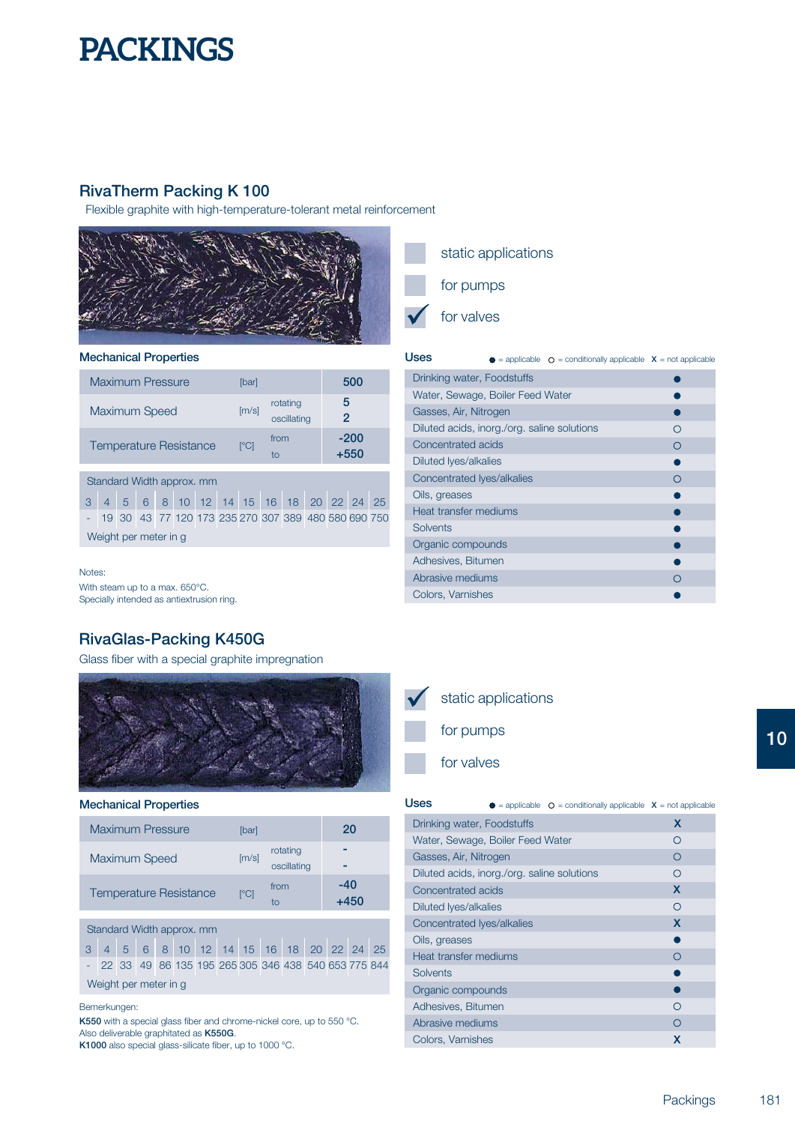## **RivaTherm Packing K 100**

Flexible graphite with high-temperature-tolerant metal reinforcement



### **Mechanical Properties**

| <b>Maximum Pressure</b>       | [bar]        |                         | 500                 |
|-------------------------------|--------------|-------------------------|---------------------|
| <b>Maximum Speed</b>          | [m/s]        | rotating<br>oscillating | 5<br>$\overline{2}$ |
| <b>Temperature Resistance</b> | $\lceil$ °Cl | from<br>tο              | $-200$<br>$+550$    |
| Standard Width approx. mm     |              |                         |                     |

|  |                       |  |  |  | 3 4 5 6 8 10 12 14 15 16 18 20 22 24 25               |  |  |
|--|-----------------------|--|--|--|-------------------------------------------------------|--|--|
|  |                       |  |  |  | - 19 30 43 77 120 173 235 270 307 389 480 580 690 750 |  |  |
|  | Weight per meter in g |  |  |  |                                                       |  |  |

Notes:

With steam up to a max. 650°C. Specially intended as antiextrusion ring.

## **RivaGlas-Packing K450G**

Glass fiber with a special graphite impregnation



#### **Mechanical Properties**

| <b>Maximum Pressure</b>       | lbarl                    |                         | 20            |
|-------------------------------|--------------------------|-------------------------|---------------|
| <b>Maximum Speed</b>          | [m/s]                    | rotating<br>oscillating |               |
| <b>Temperature Resistance</b> | $\Gamma$ <sup>o</sup> Cl | from<br>tο              | -40<br>$+450$ |

### Standard Width approx. mm

3 4 5 6 8 10 12 14 15 16 18 20 22 24 25 - 22 33 49 86 135 195 265 305 346 438 540 653 775 844 Weight per meter in g

#### Bemerkungen:

**K550** with a special glass fiber and chrome-nickel core, up to 550 °C. **K550G**. Also deliverable graphitated as K1000 also special glass-silicate fiber, up to 1000 °C.

static applications

for pumps

for valves

**Uses** = applicable = conditionally applicable **<sup>X</sup>** = not applicable

| Drinking water, Foodstuffs                  |   |
|---------------------------------------------|---|
| Water, Sewage, Boiler Feed Water            |   |
| Gasses, Air, Nitrogen                       |   |
| Diluted acids, inorg./org. saline solutions |   |
| Concentrated acids                          |   |
| Diluted Iyes/alkalies                       |   |
| Concentrated Ives/alkalies                  | ∩ |
| Oils, greases                               |   |
| Heat transfer mediums                       |   |
| Solvents                                    |   |
| Organic compounds                           |   |
| Adhesives, Bitumen                          |   |
| Abrasive mediums                            |   |
| Colors, Varnishes                           |   |
|                                             |   |



| Uses                                        |  | $\bullet$ = applicable $\circ$ = conditionally applicable $\circ$ = not applicable |            |
|---------------------------------------------|--|------------------------------------------------------------------------------------|------------|
| Drinking water, Foodstuffs                  |  |                                                                                    | x          |
| Water, Sewage, Boiler Feed Water            |  |                                                                                    | ∩          |
| Gasses, Air, Nitrogen                       |  |                                                                                    | ∩          |
| Diluted acids, inorg./org. saline solutions |  |                                                                                    | ∩          |
| Concentrated acids                          |  |                                                                                    | X          |
| Diluted lyes/alkalies                       |  |                                                                                    | $\bigcirc$ |
| Concentrated Iyes/alkalies                  |  |                                                                                    | X          |
| Oils, greases                               |  |                                                                                    |            |
| Heat transfer mediums                       |  |                                                                                    | ∩          |
| Solvents                                    |  |                                                                                    |            |
| Organic compounds                           |  |                                                                                    |            |
| Adhesives, Bitumen                          |  |                                                                                    | ∩          |
| Abrasive mediums                            |  |                                                                                    | ∩          |
| Colors, Varnishes                           |  |                                                                                    | x          |